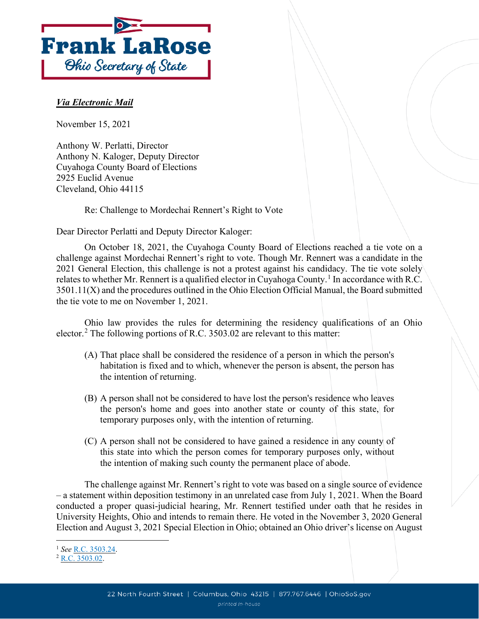

## *Via Electronic Mail*

November 15, 2021

Anthony W. Perlatti, Director Anthony N. Kaloger, Deputy Director Cuyahoga County Board of Elections 2925 Euclid Avenue Cleveland, Ohio 44115

Re: Challenge to Mordechai Rennert's Right to Vote

Dear Director Perlatti and Deputy Director Kaloger:

On October 18, 2021, the Cuyahoga County Board of Elections reached a tie vote on a challenge against Mordechai Rennert's right to vote. Though Mr. Rennert was a candidate in the 2021 General Election, this challenge is not a protest against his candidacy. The tie vote solely relates to whether Mr. Rennert is a qualified elector in Cuyahoga County.<sup>[1](#page-0-0)</sup> In accordance with R.C. 3501.11(X) and the procedures outlined in the Ohio Election Official Manual, the Board submitted the tie vote to me on November 1, 2021.

Ohio law provides the rules for determining the residency qualifications of an Ohio elector.<sup>[2](#page-0-1)</sup> The following portions of R.C. 3503.02 are relevant to this matter:

- (A) That place shall be considered the residence of a person in which the person's habitation is fixed and to which, whenever the person is absent, the person has the intention of returning.
- (B) A person shall not be considered to have lost the person's residence who leaves the person's home and goes into another state or county of this state, for temporary purposes only, with the intention of returning.
- (C) A person shall not be considered to have gained a residence in any county of this state into which the person comes for temporary purposes only, without the intention of making such county the permanent place of abode.

The challenge against Mr. Rennert's right to vote was based on a single source of evidence – a statement within deposition testimony in an unrelated case from July 1, 2021. When the Board conducted a proper quasi-judicial hearing, Mr. Rennert testified under oath that he resides in University Heights, Ohio and intends to remain there. He voted in the November 3, 2020 General Election and August 3, 2021 Special Election in Ohio; obtained an Ohio driver's license on August

<span id="page-0-0"></span><sup>1</sup> *See* R.C. [3503.24.](https://codes.ohio.gov/ohio-revised-code/section-3503.24)

<span id="page-0-1"></span><sup>2</sup> R.C. [3503.02.](https://codes.ohio.gov/ohio-revised-code/section-3503.02)